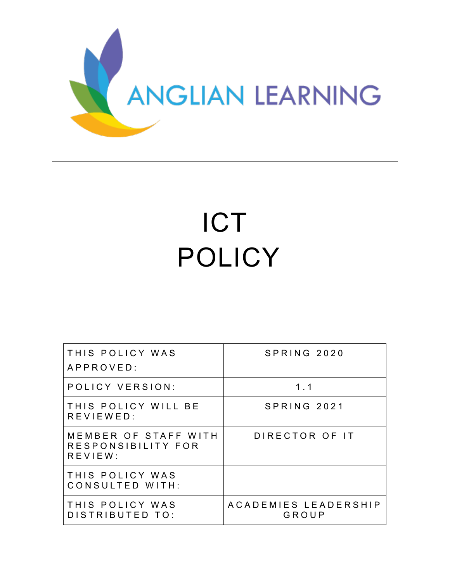

# ICT POLICY

| THIS POLICY WAS<br>APPROVED:                          | SPRING 2020                   |
|-------------------------------------------------------|-------------------------------|
| POLICY VERSION:                                       | $1 \quad 1$                   |
| THIS POLICY WILL BE<br>REVIEWED:                      | SPRING 2021                   |
| MEMBER OF STAFF WITH<br>RESPONSIBILITY FOR<br>REVIEW: | DIRECTOR OF IT                |
| THIS POLICY WAS<br>CONSULTED WITH:                    |                               |
| THIS POLICY WAS<br>DISTRIBUTED TO:                    | ACADEMIES LEADERSHIP<br>GROUP |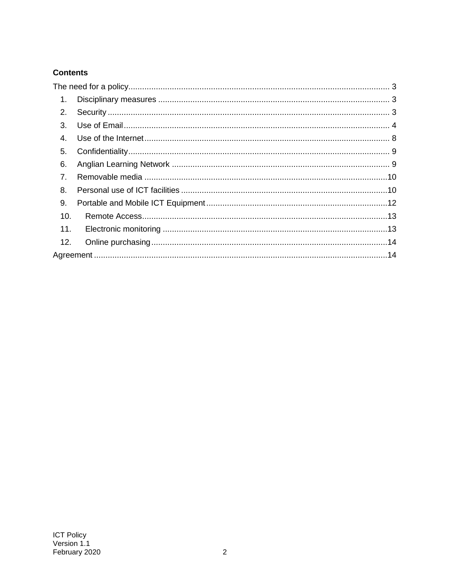# **Contents**

<span id="page-1-0"></span>

| 1.             |  |  |  |
|----------------|--|--|--|
| 2.             |  |  |  |
| 3.             |  |  |  |
| 4.             |  |  |  |
| 5.             |  |  |  |
| 6.             |  |  |  |
| 7 <sub>1</sub> |  |  |  |
| 8.             |  |  |  |
| 9.             |  |  |  |
| 10.            |  |  |  |
| 11.            |  |  |  |
| 12.            |  |  |  |
|                |  |  |  |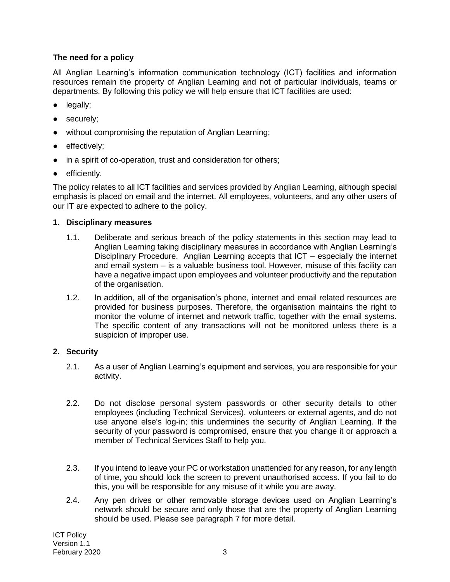## **The need for a policy**

All Anglian Learning's information communication technology (ICT) facilities and information resources remain the property of Anglian Learning and not of particular individuals, teams or departments. By following this policy we will help ensure that ICT facilities are used:

- legally;
- securely;
- without compromising the reputation of Anglian Learning;
- effectively;
- in a spirit of co-operation, trust and consideration for others;
- efficiently.

The policy relates to all ICT facilities and services provided by Anglian Learning, although special emphasis is placed on email and the internet. All employees, volunteers, and any other users of our IT are expected to adhere to the policy.

#### <span id="page-2-0"></span>**1. Disciplinary measures**

- 1.1. Deliberate and serious breach of the policy statements in this section may lead to Anglian Learning taking disciplinary measures in accordance with Anglian Learning's Disciplinary Procedure. Anglian Learning accepts that ICT – especially the internet and email system – is a valuable business tool. However, misuse of this facility can have a negative impact upon employees and volunteer productivity and the reputation of the organisation.
- 1.2. In addition, all of the organisation's phone, internet and email related resources are provided for business purposes. Therefore, the organisation maintains the right to monitor the volume of internet and network traffic, together with the email systems. The specific content of any transactions will not be monitored unless there is a suspicion of improper use.

## <span id="page-2-1"></span>**2. Security**

- 2.1. As a user of Anglian Learning's equipment and services, you are responsible for your activity.
- 2.2. Do not disclose personal system passwords or other security details to other employees (including Technical Services), volunteers or external agents, and do not use anyone else's log-in; this undermines the security of Anglian Learning. If the security of your password is compromised, ensure that you change it or approach a member of Technical Services Staff to help you.
- 2.3. If you intend to leave your PC or workstation unattended for any reason, for any length of time, you should lock the screen to prevent unauthorised access. If you fail to do this, you will be responsible for any misuse of it while you are away.
- 2.4. Any pen drives or other removable storage devices used on Anglian Learning's network should be secure and only those that are the property of Anglian Learning should be used. Please see paragraph 7 for more detail.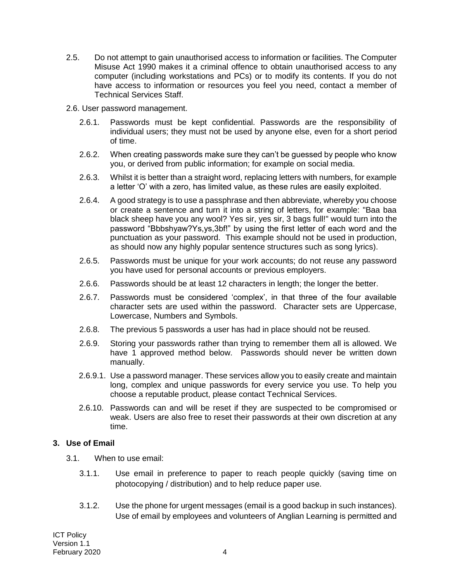- 2.5. Do not attempt to gain unauthorised access to information or facilities. The Computer Misuse Act 1990 makes it a criminal offence to obtain unauthorised access to any computer (including workstations and PCs) or to modify its contents. If you do not have access to information or resources you feel you need, contact a member of Technical Services Staff.
- 2.6. User password management.
	- 2.6.1. Passwords must be kept confidential. Passwords are the responsibility of individual users; they must not be used by anyone else, even for a short period of time.
	- 2.6.2. When creating passwords make sure they can't be guessed by people who know you, or derived from public information; for example on social media.
	- 2.6.3. Whilst it is better than a straight word, replacing letters with numbers, for example a letter 'O' with a zero, has limited value, as these rules are easily exploited.
	- 2.6.4. A good strategy is to use a passphrase and then abbreviate, whereby you choose or create a sentence and turn it into a string of letters, for example: "Baa baa black sheep have you any wool? Yes sir, yes sir, 3 bags full!" would turn into the password "Bbbshyaw?Ys,ys,3bf!" by using the first letter of each word and the punctuation as your password. This example should not be used in production, as should now any highly popular sentence structures such as song lyrics).
	- 2.6.5. Passwords must be unique for your work accounts; do not reuse any password you have used for personal accounts or previous employers.
	- 2.6.6. Passwords should be at least 12 characters in length; the longer the better.
	- 2.6.7. Passwords must be considered 'complex', in that three of the four available character sets are used within the password. Character sets are Uppercase, Lowercase, Numbers and Symbols.
	- 2.6.8. The previous 5 passwords a user has had in place should not be reused.
	- 2.6.9. Storing your passwords rather than trying to remember them all is allowed. We have 1 approved method below. Passwords should never be written down manually.
	- 2.6.9.1. Use a password manager. These services allow you to easily create and maintain long, complex and unique passwords for every service you use. To help you choose a reputable product, please contact Technical Services.
	- 2.6.10. Passwords can and will be reset if they are suspected to be compromised or weak. Users are also free to reset their passwords at their own discretion at any time.

#### <span id="page-3-0"></span>**3. Use of Email**

- 3.1. When to use email:
	- 3.1.1. Use email in preference to paper to reach people quickly (saving time on photocopying / distribution) and to help reduce paper use.
	- 3.1.2. Use the phone for urgent messages (email is a good backup in such instances). Use of email by employees and volunteers of Anglian Learning is permitted and

ICT Policy Version 1.1 February 2020 4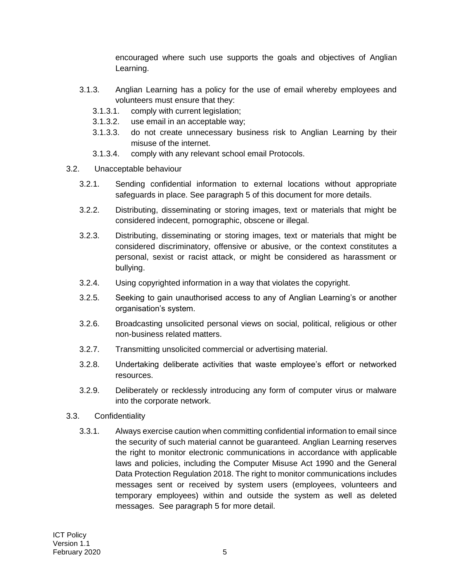encouraged where such use supports the goals and objectives of Anglian Learning.

- 3.1.3. Anglian Learning has a policy for the use of email whereby employees and volunteers must ensure that they:
	- 3.1.3.1. comply with current legislation;
	- 3.1.3.2. use email in an acceptable way;
	- 3.1.3.3. do not create unnecessary business risk to Anglian Learning by their misuse of the internet.
	- 3.1.3.4. comply with any relevant school email Protocols.
- 3.2. Unacceptable behaviour
	- 3.2.1. Sending confidential information to external locations without appropriate safeguards in place. See paragraph 5 of this document for more details.
	- 3.2.2. Distributing, disseminating or storing images, text or materials that might be considered indecent, pornographic, obscene or illegal.
	- 3.2.3. Distributing, disseminating or storing images, text or materials that might be considered discriminatory, offensive or abusive, or the context constitutes a personal, sexist or racist attack, or might be considered as harassment or bullying.
	- 3.2.4. Using copyrighted information in a way that violates the copyright.
	- 3.2.5. Seeking to gain unauthorised access to any of Anglian Learning's or another organisation's system.
	- 3.2.6. Broadcasting unsolicited personal views on social, political, religious or other non-business related matters.
	- 3.2.7. Transmitting unsolicited commercial or advertising material.
	- 3.2.8. Undertaking deliberate activities that waste employee's effort or networked resources.
	- 3.2.9. Deliberately or recklessly introducing any form of computer virus or malware into the corporate network.
- 3.3. Confidentiality
	- 3.3.1. Always exercise caution when committing confidential information to email since the security of such material cannot be guaranteed. Anglian Learning reserves the right to monitor electronic communications in accordance with applicable laws and policies, including the Computer Misuse Act 1990 and the General Data Protection Regulation 2018. The right to monitor communications includes messages sent or received by system users (employees, volunteers and temporary employees) within and outside the system as well as deleted messages. See paragraph 5 for more detail.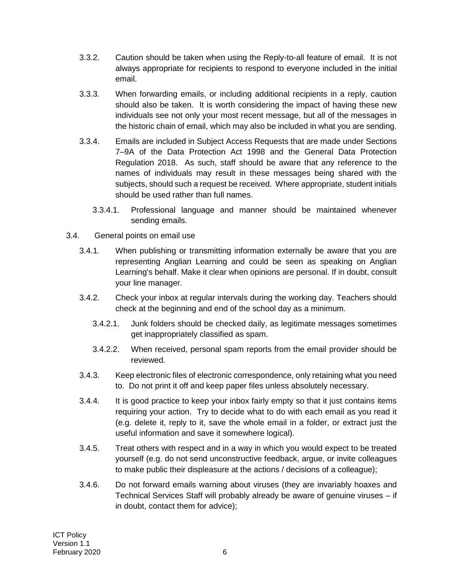- 3.3.2. Caution should be taken when using the Reply-to-all feature of email. It is not always appropriate for recipients to respond to everyone included in the initial email.
- 3.3.3. When forwarding emails, or including additional recipients in a reply, caution should also be taken. It is worth considering the impact of having these new individuals see not only your most recent message, but all of the messages in the historic chain of email, which may also be included in what you are sending.
- 3.3.4. Emails are included in Subject Access Requests that are made under Sections 7–9A of the Data Protection Act 1998 and the General Data Protection Regulation 2018. As such, staff should be aware that any reference to the names of individuals may result in these messages being shared with the subjects, should such a request be received. Where appropriate, student initials should be used rather than full names.
	- 3.3.4.1. Professional language and manner should be maintained whenever sending emails.
- 3.4. General points on email use
	- 3.4.1. When publishing or transmitting information externally be aware that you are representing Anglian Learning and could be seen as speaking on Anglian Learning's behalf. Make it clear when opinions are personal. If in doubt, consult your line manager.
	- 3.4.2. Check your inbox at regular intervals during the working day. Teachers should check at the beginning and end of the school day as a minimum.
		- 3.4.2.1. Junk folders should be checked daily, as legitimate messages sometimes get inappropriately classified as spam.
		- 3.4.2.2. When received, personal spam reports from the email provider should be reviewed.
	- 3.4.3. Keep electronic files of electronic correspondence, only retaining what you need to. Do not print it off and keep paper files unless absolutely necessary.
	- 3.4.4. It is good practice to keep your inbox fairly empty so that it just contains items requiring your action. Try to decide what to do with each email as you read it (e.g. delete it, reply to it, save the whole email in a folder, or extract just the useful information and save it somewhere logical).
	- 3.4.5. Treat others with respect and in a way in which you would expect to be treated yourself (e.g. do not send unconstructive feedback, argue, or invite colleagues to make public their displeasure at the actions / decisions of a colleague);
	- 3.4.6. Do not forward emails warning about viruses (they are invariably hoaxes and Technical Services Staff will probably already be aware of genuine viruses – if in doubt, contact them for advice);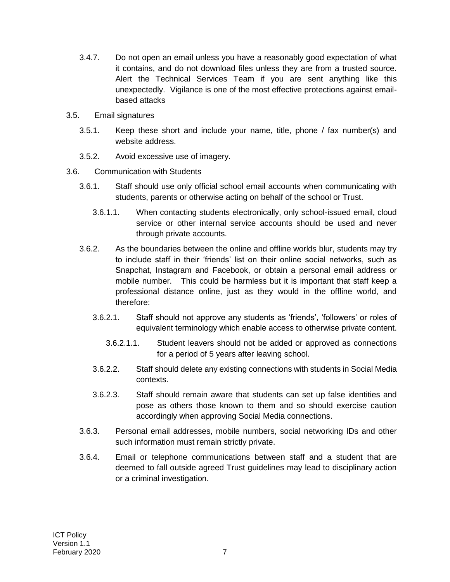- 3.4.7. Do not open an email unless you have a reasonably good expectation of what it contains, and do not download files unless they are from a trusted source. Alert the Technical Services Team if you are sent anything like this unexpectedly. Vigilance is one of the most effective protections against emailbased attacks
- 3.5. Email signatures
	- 3.5.1. Keep these short and include your name, title, phone / fax number(s) and website address.
	- 3.5.2. Avoid excessive use of imagery.
- 3.6. Communication with Students
	- 3.6.1. Staff should use only official school email accounts when communicating with students, parents or otherwise acting on behalf of the school or Trust.
		- 3.6.1.1. When contacting students electronically, only school-issued email, cloud service or other internal service accounts should be used and never through private accounts.
	- 3.6.2. As the boundaries between the online and offline worlds blur, students may try to include staff in their 'friends' list on their online social networks, such as Snapchat, Instagram and Facebook, or obtain a personal email address or mobile number. This could be harmless but it is important that staff keep a professional distance online, just as they would in the offline world, and therefore:
		- 3.6.2.1. Staff should not approve any students as 'friends', 'followers' or roles of equivalent terminology which enable access to otherwise private content.
			- 3.6.2.1.1. Student leavers should not be added or approved as connections for a period of 5 years after leaving school.
		- 3.6.2.2. Staff should delete any existing connections with students in Social Media contexts.
		- 3.6.2.3. Staff should remain aware that students can set up false identities and pose as others those known to them and so should exercise caution accordingly when approving Social Media connections.
	- 3.6.3. Personal email addresses, mobile numbers, social networking IDs and other such information must remain strictly private.
	- 3.6.4. Email or telephone communications between staff and a student that are deemed to fall outside agreed Trust guidelines may lead to disciplinary action or a criminal investigation.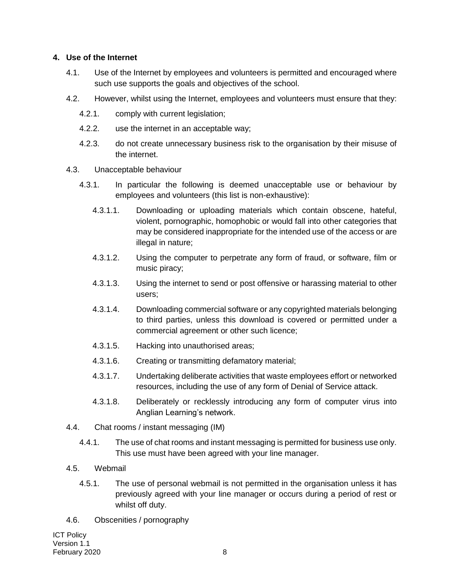#### <span id="page-7-0"></span>**4. Use of the Internet**

- 4.1. Use of the Internet by employees and volunteers is permitted and encouraged where such use supports the goals and objectives of the school.
- 4.2. However, whilst using the Internet, employees and volunteers must ensure that they:
	- 4.2.1. comply with current legislation;
	- 4.2.2. use the internet in an acceptable way;
	- 4.2.3. do not create unnecessary business risk to the organisation by their misuse of the internet.
- 4.3. Unacceptable behaviour
	- 4.3.1. In particular the following is deemed unacceptable use or behaviour by employees and volunteers (this list is non-exhaustive):
		- 4.3.1.1. Downloading or uploading materials which contain obscene, hateful, violent, pornographic, homophobic or would fall into other categories that may be considered inappropriate for the intended use of the access or are illegal in nature;
		- 4.3.1.2. Using the computer to perpetrate any form of fraud, or software, film or music piracy;
		- 4.3.1.3. Using the internet to send or post offensive or harassing material to other users;
		- 4.3.1.4. Downloading commercial software or any copyrighted materials belonging to third parties, unless this download is covered or permitted under a commercial agreement or other such licence;
		- 4.3.1.5. Hacking into unauthorised areas;
		- 4.3.1.6. Creating or transmitting defamatory material;
		- 4.3.1.7. Undertaking deliberate activities that waste employees effort or networked resources, including the use of any form of Denial of Service attack.
		- 4.3.1.8. Deliberately or recklessly introducing any form of computer virus into Anglian Learning's network.
- 4.4. Chat rooms / instant messaging (IM)
	- 4.4.1. The use of chat rooms and instant messaging is permitted for business use only. This use must have been agreed with your line manager.
- 4.5. Webmail
	- 4.5.1. The use of personal webmail is not permitted in the organisation unless it has previously agreed with your line manager or occurs during a period of rest or whilst off duty.
- 4.6. Obscenities / pornography

ICT Policy Version 1.1 February 2020 8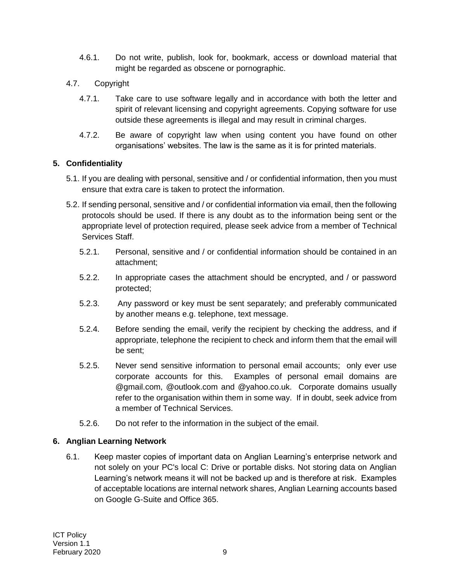- 4.6.1. Do not write, publish, look for, bookmark, access or download material that might be regarded as obscene or pornographic.
- 4.7. Copyright
	- 4.7.1. Take care to use software legally and in accordance with both the letter and spirit of relevant licensing and copyright agreements. Copying software for use outside these agreements is illegal and may result in criminal charges.
	- 4.7.2. Be aware of copyright law when using content you have found on other organisations' websites. The law is the same as it is for printed materials.

# <span id="page-8-0"></span>**5. Confidentiality**

- 5.1. If you are dealing with personal, sensitive and / or confidential information, then you must ensure that extra care is taken to protect the information.
- 5.2. If sending personal, sensitive and / or confidential information via email, then the following protocols should be used. If there is any doubt as to the information being sent or the appropriate level of protection required, please seek advice from a member of Technical Services Staff.
	- 5.2.1. Personal, sensitive and / or confidential information should be contained in an attachment;
	- 5.2.2. In appropriate cases the attachment should be encrypted, and / or password protected;
	- 5.2.3. Any password or key must be sent separately; and preferably communicated by another means e.g. telephone, text message.
	- 5.2.4. Before sending the email, verify the recipient by checking the address, and if appropriate, telephone the recipient to check and inform them that the email will be sent;
	- 5.2.5. Never send sensitive information to personal email accounts; only ever use corporate accounts for this. Examples of personal email domains are @gmail.com, @outlook.com and @yahoo.co.uk. Corporate domains usually refer to the organisation within them in some way. If in doubt, seek advice from a member of Technical Services.
	- 5.2.6. Do not refer to the information in the subject of the email.

# <span id="page-8-1"></span>**6. Anglian Learning Network**

6.1. Keep master copies of important data on Anglian Learning's enterprise network and not solely on your PC's local C: Drive or portable disks. Not storing data on Anglian Learning's network means it will not be backed up and is therefore at risk. Examples of acceptable locations are internal network shares, Anglian Learning accounts based on Google G-Suite and Office 365.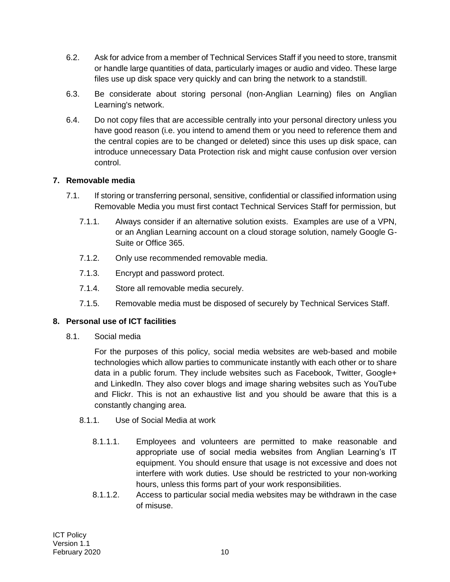- 6.2. Ask for advice from a member of Technical Services Staff if you need to store, transmit or handle large quantities of data, particularly images or audio and video. These large files use up disk space very quickly and can bring the network to a standstill.
- 6.3. Be considerate about storing personal (non-Anglian Learning) files on Anglian Learning's network.
- 6.4. Do not copy files that are accessible centrally into your personal directory unless you have good reason (i.e. you intend to amend them or you need to reference them and the central copies are to be changed or deleted) since this uses up disk space, can introduce unnecessary Data Protection risk and might cause confusion over version control.

## <span id="page-9-0"></span>**7. Removable media**

- 7.1. If storing or transferring personal, sensitive, confidential or classified information using Removable Media you must first contact Technical Services Staff for permission, but
	- 7.1.1. Always consider if an alternative solution exists. Examples are use of a VPN, or an Anglian Learning account on a cloud storage solution, namely Google G-Suite or Office 365.
	- 7.1.2. Only use recommended removable media.
	- 7.1.3. Encrypt and password protect.
	- 7.1.4. Store all removable media securely.
	- 7.1.5. Removable media must be disposed of securely by Technical Services Staff.

## <span id="page-9-1"></span>**8. Personal use of ICT facilities**

8.1. Social media

For the purposes of this policy, social media websites are web-based and mobile technologies which allow parties to communicate instantly with each other or to share data in a public forum. They include websites such as Facebook, Twitter, Google+ and LinkedIn. They also cover blogs and image sharing websites such as YouTube and Flickr. This is not an exhaustive list and you should be aware that this is a constantly changing area.

- 8.1.1. Use of Social Media at work
	- 8.1.1.1. Employees and volunteers are permitted to make reasonable and appropriate use of social media websites from Anglian Learning's IT equipment. You should ensure that usage is not excessive and does not interfere with work duties. Use should be restricted to your non-working hours, unless this forms part of your work responsibilities.
	- 8.1.1.2. Access to particular social media websites may be withdrawn in the case of misuse.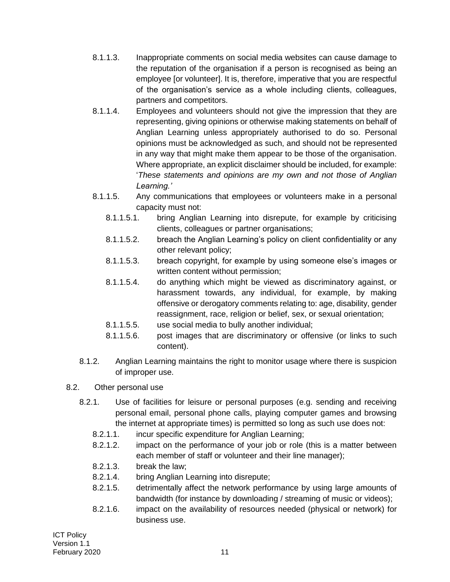- 8.1.1.3. Inappropriate comments on social media websites can cause damage to the reputation of the organisation if a person is recognised as being an employee [or volunteer]. It is, therefore, imperative that you are respectful of the organisation's service as a whole including clients, colleagues, partners and competitors.
- 8.1.1.4. Employees and volunteers should not give the impression that they are representing, giving opinions or otherwise making statements on behalf of Anglian Learning unless appropriately authorised to do so. Personal opinions must be acknowledged as such, and should not be represented in any way that might make them appear to be those of the organisation. Where appropriate, an explicit disclaimer should be included, for example: '*These statements and opinions are my own and not those of Anglian Learning.'*
- 8.1.1.5. Any communications that employees or volunteers make in a personal capacity must not:
	- 8.1.1.5.1. bring Anglian Learning into disrepute, for example by criticising clients, colleagues or partner organisations;
	- 8.1.1.5.2. breach the Anglian Learning's policy on client confidentiality or any other relevant policy;
	- 8.1.1.5.3. breach copyright, for example by using someone else's images or written content without permission;
	- 8.1.1.5.4. do anything which might be viewed as discriminatory against, or harassment towards, any individual, for example, by making offensive or derogatory comments relating to: age, disability, gender reassignment, race, religion or belief, sex, or sexual orientation;
	- 8.1.1.5.5. use social media to bully another individual;
	- 8.1.1.5.6. post images that are discriminatory or offensive (or links to such content).
- 8.1.2. Anglian Learning maintains the right to monitor usage where there is suspicion of improper use.

# 8.2. Other personal use

- 8.2.1. Use of facilities for leisure or personal purposes (e.g. sending and receiving personal email, personal phone calls, playing computer games and browsing the internet at appropriate times) is permitted so long as such use does not:
	- 8.2.1.1. incur specific expenditure for Anglian Learning;
	- 8.2.1.2. impact on the performance of your job or role (this is a matter between each member of staff or volunteer and their line manager);
	- 8.2.1.3. break the law;
	- 8.2.1.4. bring Anglian Learning into disrepute;
	- 8.2.1.5. detrimentally affect the network performance by using large amounts of bandwidth (for instance by downloading / streaming of music or videos);
	- 8.2.1.6. impact on the availability of resources needed (physical or network) for business use.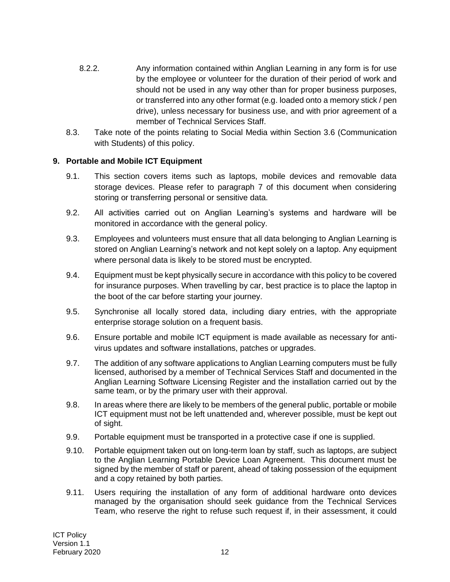- 8.2.2. Any information contained within Anglian Learning in any form is for use by the employee or volunteer for the duration of their period of work and should not be used in any way other than for proper business purposes, or transferred into any other format (e.g. loaded onto a memory stick / pen drive), unless necessary for business use, and with prior agreement of a member of Technical Services Staff.
- 8.3. Take note of the points relating to Social Media within Section 3.6 (Communication with Students) of this policy.

## <span id="page-11-0"></span>**9. Portable and Mobile ICT Equipment**

- 9.1. This section covers items such as laptops, mobile devices and removable data storage devices. Please refer to paragraph 7 of this document when considering storing or transferring personal or sensitive data.
- 9.2. All activities carried out on Anglian Learning's systems and hardware will be monitored in accordance with the general policy.
- 9.3. Employees and volunteers must ensure that all data belonging to Anglian Learning is stored on Anglian Learning's network and not kept solely on a laptop. Any equipment where personal data is likely to be stored must be encrypted.
- 9.4. Equipment must be kept physically secure in accordance with this policy to be covered for insurance purposes. When travelling by car, best practice is to place the laptop in the boot of the car before starting your journey.
- 9.5. Synchronise all locally stored data, including diary entries, with the appropriate enterprise storage solution on a frequent basis.
- 9.6. Ensure portable and mobile ICT equipment is made available as necessary for antivirus updates and software installations, patches or upgrades.
- 9.7. The addition of any software applications to Anglian Learning computers must be fully licensed, authorised by a member of Technical Services Staff and documented in the Anglian Learning Software Licensing Register and the installation carried out by the same team, or by the primary user with their approval.
- 9.8. In areas where there are likely to be members of the general public, portable or mobile ICT equipment must not be left unattended and, wherever possible, must be kept out of sight.
- 9.9. Portable equipment must be transported in a protective case if one is supplied.
- 9.10. Portable equipment taken out on long-term loan by staff, such as laptops, are subject to the Anglian Learning Portable Device Loan Agreement. This document must be signed by the member of staff or parent, ahead of taking possession of the equipment and a copy retained by both parties.
- 9.11. Users requiring the installation of any form of additional hardware onto devices managed by the organisation should seek guidance from the Technical Services Team, who reserve the right to refuse such request if, in their assessment, it could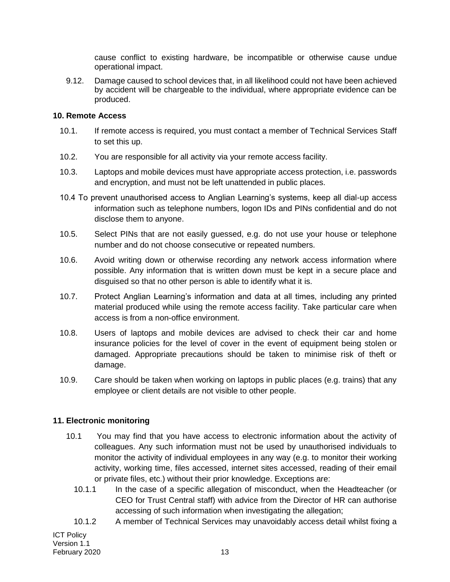cause conflict to existing hardware, be incompatible or otherwise cause undue operational impact.

9.12. Damage caused to school devices that, in all likelihood could not have been achieved by accident will be chargeable to the individual, where appropriate evidence can be produced.

#### <span id="page-12-0"></span>**10. Remote Access**

- 10.1. If remote access is required, you must contact a member of Technical Services Staff to set this up.
- 10.2. You are responsible for all activity via your remote access facility.
- 10.3. Laptops and mobile devices must have appropriate access protection, i.e. passwords and encryption, and must not be left unattended in public places.
- 10.4 To prevent unauthorised access to Anglian Learning's systems, keep all dial-up access information such as telephone numbers, logon IDs and PINs confidential and do not disclose them to anyone.
- 10.5. Select PINs that are not easily guessed, e.g. do not use your house or telephone number and do not choose consecutive or repeated numbers.
- 10.6. Avoid writing down or otherwise recording any network access information where possible. Any information that is written down must be kept in a secure place and disguised so that no other person is able to identify what it is.
- 10.7. Protect Anglian Learning's information and data at all times, including any printed material produced while using the remote access facility. Take particular care when access is from a non-office environment.
- 10.8. Users of laptops and mobile devices are advised to check their car and home insurance policies for the level of cover in the event of equipment being stolen or damaged. Appropriate precautions should be taken to minimise risk of theft or damage.
- 10.9. Care should be taken when working on laptops in public places (e.g. trains) that any employee or client details are not visible to other people.

## <span id="page-12-1"></span>**11. Electronic monitoring**

- 10.1 You may find that you have access to electronic information about the activity of colleagues. Any such information must not be used by unauthorised individuals to monitor the activity of individual employees in any way (e.g. to monitor their working activity, working time, files accessed, internet sites accessed, reading of their email or private files, etc.) without their prior knowledge. Exceptions are:
	- 10.1.1 In the case of a specific allegation of misconduct, when the Headteacher (or CEO for Trust Central staff) with advice from the Director of HR can authorise accessing of such information when investigating the allegation;
	- 10.1.2 A member of Technical Services may unavoidably access detail whilst fixing a